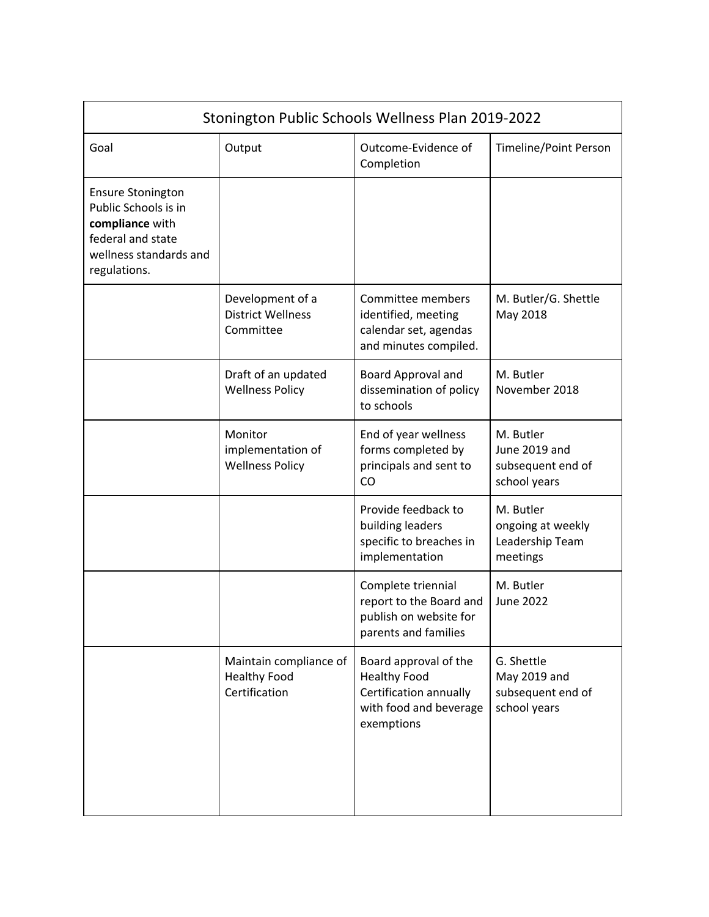| Stonington Public Schools Wellness Plan 2019-2022                                                                                  |                                                                |                                                                                                                |                                                                 |  |  |
|------------------------------------------------------------------------------------------------------------------------------------|----------------------------------------------------------------|----------------------------------------------------------------------------------------------------------------|-----------------------------------------------------------------|--|--|
| Goal                                                                                                                               | Output                                                         | Outcome-Evidence of<br>Completion                                                                              | Timeline/Point Person                                           |  |  |
| <b>Ensure Stonington</b><br>Public Schools is in<br>compliance with<br>federal and state<br>wellness standards and<br>regulations. |                                                                |                                                                                                                |                                                                 |  |  |
|                                                                                                                                    | Development of a<br><b>District Wellness</b><br>Committee      | Committee members<br>identified, meeting<br>calendar set, agendas<br>and minutes compiled.                     | M. Butler/G. Shettle<br>May 2018                                |  |  |
|                                                                                                                                    | Draft of an updated<br><b>Wellness Policy</b>                  | Board Approval and<br>dissemination of policy<br>to schools                                                    | M. Butler<br>November 2018                                      |  |  |
|                                                                                                                                    | Monitor<br>implementation of<br><b>Wellness Policy</b>         | End of year wellness<br>forms completed by<br>principals and sent to<br>CO                                     | M. Butler<br>June 2019 and<br>subsequent end of<br>school years |  |  |
|                                                                                                                                    |                                                                | Provide feedback to<br>building leaders<br>specific to breaches in<br>implementation                           | M. Butler<br>ongoing at weekly<br>Leadership Team<br>meetings   |  |  |
|                                                                                                                                    |                                                                | Complete triennial<br>report to the Board and<br>publish on website for<br>parents and families                | M. Butler<br><b>June 2022</b>                                   |  |  |
|                                                                                                                                    | Maintain compliance of<br><b>Healthy Food</b><br>Certification | Board approval of the<br><b>Healthy Food</b><br>Certification annually<br>with food and beverage<br>exemptions | G. Shettle<br>May 2019 and<br>subsequent end of<br>school years |  |  |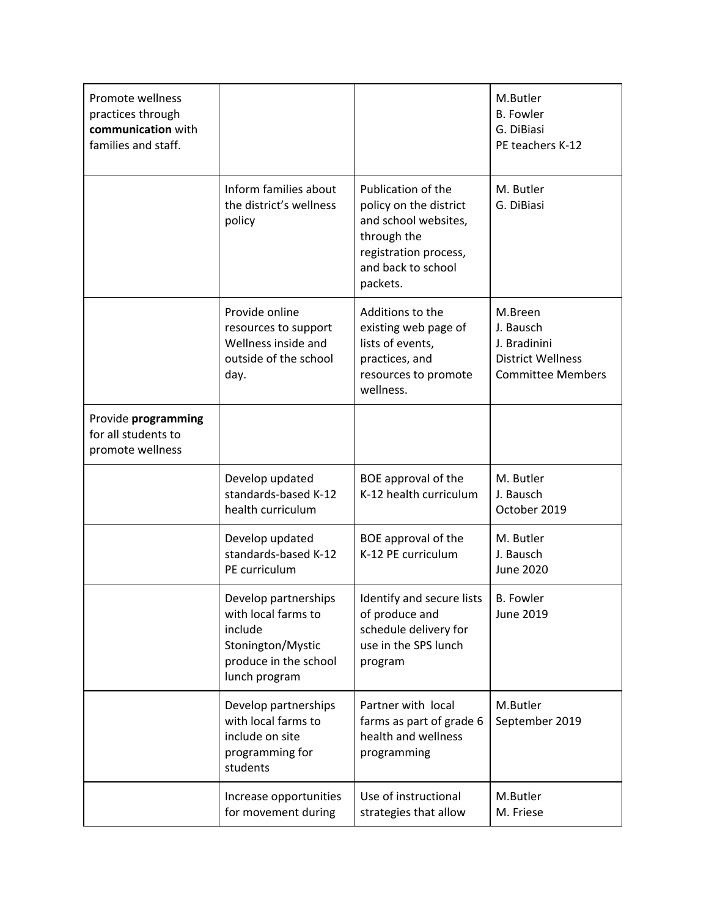| Promote wellness<br>practices through<br>communication with<br>families and staff. |                                                                                                                       |                                                                                                                                                | M.Butler<br><b>B.</b> Fowler<br>G. DiBiasi<br>PE teachers K-12                               |
|------------------------------------------------------------------------------------|-----------------------------------------------------------------------------------------------------------------------|------------------------------------------------------------------------------------------------------------------------------------------------|----------------------------------------------------------------------------------------------|
|                                                                                    | Inform families about<br>the district's wellness<br>policy                                                            | Publication of the<br>policy on the district<br>and school websites,<br>through the<br>registration process,<br>and back to school<br>packets. | M. Butler<br>G. DiBiasi                                                                      |
|                                                                                    | Provide online<br>resources to support<br>Wellness inside and<br>outside of the school<br>day.                        | Additions to the<br>existing web page of<br>lists of events,<br>practices, and<br>resources to promote<br>wellness.                            | M.Breen<br>J. Bausch<br>J. Bradinini<br><b>District Wellness</b><br><b>Committee Members</b> |
| Provide programming<br>for all students to<br>promote wellness                     |                                                                                                                       |                                                                                                                                                |                                                                                              |
|                                                                                    | Develop updated<br>standards-based K-12<br>health curriculum                                                          | BOE approval of the<br>K-12 health curriculum                                                                                                  | M. Butler<br>J. Bausch<br>October 2019                                                       |
|                                                                                    | Develop updated<br>standards-based K-12<br>PE curriculum                                                              | BOE approval of the<br>K-12 PE curriculum                                                                                                      | M. Butler<br>J. Bausch<br><b>June 2020</b>                                                   |
|                                                                                    | Develop partnerships<br>with local farms to<br>include<br>Stonington/Mystic<br>produce in the school<br>lunch program | Identify and secure lists<br>of produce and<br>schedule delivery for<br>use in the SPS lunch<br>program                                        | <b>B.</b> Fowler<br>June 2019                                                                |
|                                                                                    | Develop partnerships<br>with local farms to<br>include on site<br>programming for<br>students                         | Partner with local<br>farms as part of grade 6<br>health and wellness<br>programming                                                           | M.Butler<br>September 2019                                                                   |
|                                                                                    | Increase opportunities<br>for movement during                                                                         | Use of instructional<br>strategies that allow                                                                                                  | M.Butler<br>M. Friese                                                                        |